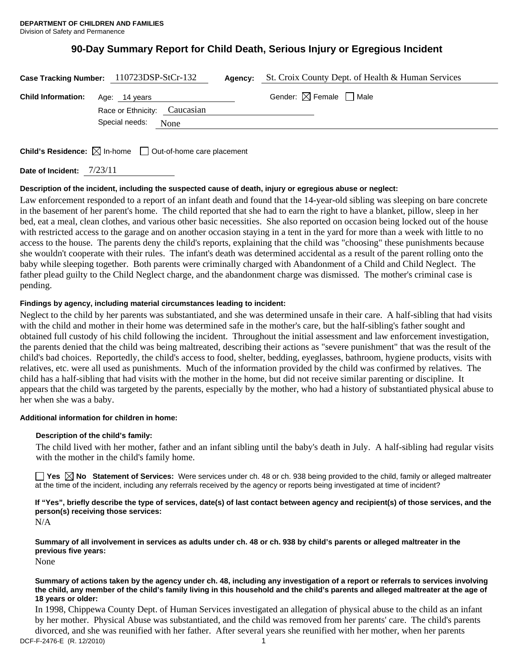# **90-Day Summary Report for Child Death, Serious Injury or Egregious Incident**

|                           | Case Tracking Number: 110723DSP-StCr-132      | Agency: | St. Croix County Dept. of Health & Human Services |
|---------------------------|-----------------------------------------------|---------|---------------------------------------------------|
| <b>Child Information:</b> | Age: 14 years<br>Race or Ethnicity: Caucasian |         | Gender: $\boxtimes$ Female $\Box$ Male            |
|                           | Special needs:<br>None                        |         |                                                   |
|                           |                                               |         |                                                   |

**Child's Residence:**  $\boxtimes$  In-home  $\Box$  Out-of-home care placement

**Date of Incident:** 7/23/11

# **Description of the incident, including the suspected cause of death, injury or egregious abuse or neglect:**

Law enforcement responded to a report of an infant death and found that the 14-year-old sibling was sleeping on bare concrete in the basement of her parent's home. The child reported that she had to earn the right to have a blanket, pillow, sleep in her bed, eat a meal, clean clothes, and various other basic necessities. She also reported on occasion being locked out of the house with restricted access to the garage and on another occasion staying in a tent in the yard for more than a week with little to no access to the house. The parents deny the child's reports, explaining that the child was "choosing" these punishments because she wouldn't cooperate with their rules. The infant's death was determined accidental as a result of the parent rolling onto the baby while sleeping together. Both parents were criminally charged with Abandonment of a Child and Child Neglect. The father plead guilty to the Child Neglect charge, and the abandonment charge was dismissed. The mother's criminal case is pending.

# **Findings by agency, including material circumstances leading to incident:**

Neglect to the child by her parents was substantiated, and she was determined unsafe in their care. A half-sibling that had visits with the child and mother in their home was determined safe in the mother's care, but the half-sibling's father sought and obtained full custody of his child following the incident. Throughout the initial assessment and law enforcement investigation, the parents denied that the child was being maltreated, describing their actions as "severe punishment" that was the result of the child's bad choices. Reportedly, the child's access to food, shelter, bedding, eyeglasses, bathroom, hygiene products, visits with relatives, etc. were all used as punishments. Much of the information provided by the child was confirmed by relatives. The child has a half-sibling that had visits with the mother in the home, but did not receive similar parenting or discipline. It appears that the child was targeted by the parents, especially by the mother, who had a history of substantiated physical abuse to her when she was a baby.

# **Additional information for children in home:**

# **Description of the child's family:**

The child lived with her mother, father and an infant sibling until the baby's death in July. A half-sibling had regular visits with the mother in the child's family home.

**No** Statement of Services: Were services under ch. 48 or ch. 938 being provided to the child, family or alleged maltreater at the time of the incident, including any referrals received by the agency or reports being investigated at time of incident?

**If "Yes", briefly describe the type of services, date(s) of last contact between agency and recipient(s) of those services, and the person(s) receiving those services:** 

N/A

**Summary of all involvement in services as adults under ch. 48 or ch. 938 by child's parents or alleged maltreater in the previous five years:** 

None

#### **Summary of actions taken by the agency under ch. 48, including any investigation of a report or referrals to services involving the child, any member of the child's family living in this household and the child's parents and alleged maltreater at the age of 18 years or older:**

DCF-F-2476-E (R. 12/2010) 1 In 1998, Chippewa County Dept. of Human Services investigated an allegation of physical abuse to the child as an infant by her mother. Physical Abuse was substantiated, and the child was removed from her parents' care. The child's parents divorced, and she was reunified with her father. After several years she reunified with her mother, when her parents